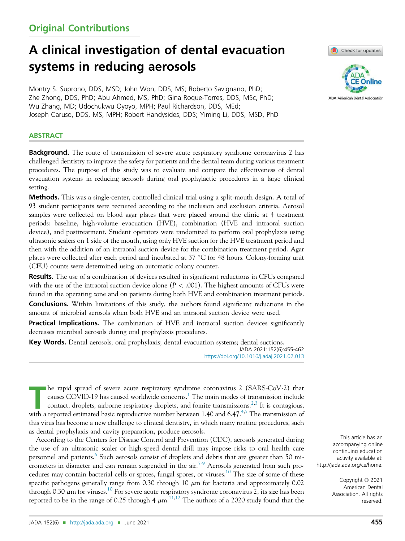# Original Contributions

# A clinical investigation of dental evacuation systems in reducing aerosols

Montry S. Suprono, DDS, MSD; John Won, DDS, MS; Roberto Savignano, PhD; Zhe Zhong, DDS, PhD; Abu Ahmed, MS, PhD; Gina Roque-Torres, DDS, MSc, PhD; Wu Zhang, MD; Udochukwu Oyoyo, MPH; Paul Richardson, DDS, MEd; Joseph Caruso, DDS, MS, MPH; Robert Handysides, DDS; Yiming Li, DDS, MSD, PhD

# **ABSTRACT**

Background. The route of transmission of severe acute respiratory syndrome coronavirus 2 has challenged dentistry to improve the safety for patients and the dental team during various treatment procedures. The purpose of this study was to evaluate and compare the effectiveness of dental evacuation systems in reducing aerosols during oral prophylactic procedures in a large clinical setting.

Methods. This was a single-center, controlled clinical trial using a split-mouth design. A total of 93 student participants were recruited according to the inclusion and exclusion criteria. Aerosol samples were collected on blood agar plates that were placed around the clinic at 4 treatment periods: baseline, high-volume evacuation (HVE), combination (HVE and intraoral suction device), and posttreatment. Student operators were randomized to perform oral prophylaxis using ultrasonic scalers on 1 side of the mouth, using only HVE suction for the HVE treatment period and then with the addition of an intraoral suction device for the combination treatment period. Agar plates were collected after each period and incubated at 37 C for 48 hours. Colony-forming unit (CFU) counts were determined using an automatic colony counter.

Results. The use of a combination of devices resulted in significant reductions in CFUs compared with the use of the intraoral suction device alone ( $P < .001$ ). The highest amounts of CFUs were found in the operating zone and on patients during both HVE and combination treatment periods.

**Conclusions.** Within limitations of this study, the authors found significant reductions in the amount of microbial aerosols when both HVE and an intraoral suction device were used.

**Practical Implications.** The combination of HVE and intraoral suction devices significantly decreases microbial aerosols during oral prophylaxis procedures.

Key Words. Dental aerosols; oral prophylaxis; dental evacuation systems; dental suctions. JADA 2021:152(6):455-462

https://doi.org/10.1016/j.adaj.2021.02.013

The rapid spread of severe acute respiratory syndrome coronavirus 2 (SARS-CoV-2) that causes COVID-19 has caused worldwide concerns.<sup>1</sup> The main modes of transmission include contact, droplets, airborne respiratory droplet he rapid spread of severe acute respiratory syndrome coronavirus 2 (SARS-CoV-2) that causes COVID-19 has caused worldwide concerns.<sup>1</sup> The main modes of transmission include contact, droplets, airborne respiratory droplets, and fomite transmissions.<sup>2,3</sup> It is contagious, this virus has become a new challenge to clinical dentistry, in which many routine procedures, such as dental prophylaxis and cavity preparation, produce aerosols.

According to the Centers for Disease Control and Prevention (CDC), aerosols generated during the use of an ultrasonic scaler or high-speed dental drill may impose risks to oral health care personnel and patients.<sup>6</sup> Such aerosols consist of droplets and debris that are greater than 50 micrometers in diameter and can remain suspended in the air.<sup>7-9</sup> Aerosols generated from such procedures may contain bacterial cells or spores, fungal spores, or viruses.<sup>10</sup> The size of some of these specific pathogens generally range from 0.30 through 10  $\mu$ m for bacteria and approximately 0.02 through 0.30  $\mu$ m for viruses.<sup>10</sup> For severe acute respiratory syndrome coronavirus 2, its size has been reported to be in the range of 0.25 through 4  $\mu$ m.  $^{11,12}$  The authors of a 2020 study found that the





This article has an accompanying online continuing education activity available at: http://jada.ada.org/ce/home.

> Copyright  $@$  2021 American Dental Association. All rights reserved.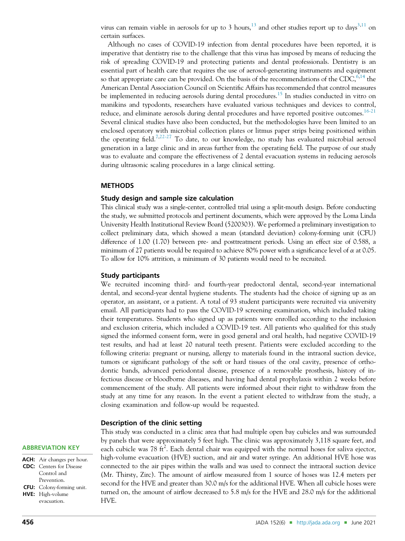virus can remain viable in aerosols for up to 3 hours, $^{13}$  and other studies report up to days $^{3,11}$  on certain surfaces.

Although no cases of COVID-19 infection from dental procedures have been reported, it is imperative that dentistry rise to the challenge that this virus has imposed by means of reducing the risk of spreading COVID-19 and protecting patients and dental professionals. Dentistry is an essential part of health care that requires the use of aerosol-generating instruments and equipment so that appropriate care can be provided. On the basis of the recommendations of the CDC,  $6,14$  the American Dental Association Council on Scientific Affairs has recommended that control measures be implemented in reducing aerosols during dental procedures.<sup>15</sup> In studies conducted in vitro on manikins and typodonts, researchers have evaluated various techniques and devices to control, reduce, and eliminate aerosols during dental procedures and have reported positive outcomes.<sup>16-21</sup> Several clinical studies have also been conducted, but the methodologies have been limited to an enclosed operatory with microbial collection plates or litmus paper strips being positioned within the operating field.<sup>7,22-27</sup> To date, to our knowledge, no study has evaluated microbial aerosol generation in a large clinic and in areas further from the operating field. The purpose of our study was to evaluate and compare the effectiveness of 2 dental evacuation systems in reducing aerosols during ultrasonic scaling procedures in a large clinical setting.

#### **METHODS**

#### Study design and sample size calculation

This clinical study was a single-center, controlled trial using a split-mouth design. Before conducting the study, we submitted protocols and pertinent documents, which were approved by the Loma Linda University Health Institutional Review Board (5200303). We performed a preliminary investigation to collect preliminary data, which showed a mean (standard deviation) colony-forming unit (CFU) difference of 1.00 (1.70) between pre- and posttreatment periods. Using an effect size of 0.588, a minimum of 27 patients would be required to achieve 80% power with a significance level of  $\alpha$  at 0.05. To allow for 10% attrition, a minimum of 30 patients would need to be recruited.

#### Study participants

We recruited incoming third- and fourth-year predoctoral dental, second-year international dental, and second-year dental hygiene students. The students had the choice of signing up as an operator, an assistant, or a patient. A total of 93 student participants were recruited via university email. All participants had to pass the COVID-19 screening examination, which included taking their temperatures. Students who signed up as patients were enrolled according to the inclusion and exclusion criteria, which included a COVID-19 test. All patients who qualified for this study signed the informed consent form, were in good general and oral health, had negative COVID-19 test results, and had at least 20 natural teeth present. Patients were excluded according to the following criteria: pregnant or nursing, allergy to materials found in the intraoral suction device, tumors or significant pathology of the soft or hard tissues of the oral cavity, presence of orthodontic bands, advanced periodontal disease, presence of a removable prosthesis, history of infectious disease or bloodborne diseases, and having had dental prophylaxis within 2 weeks before commencement of the study. All patients were informed about their right to withdraw from the study at any time for any reason. In the event a patient elected to withdraw from the study, a closing examination and follow-up would be requested.

#### Description of the clinic setting

This study was conducted in a clinic area that had multiple open bay cubicles and was surrounded by panels that were approximately 5 feet high. The clinic was approximately 3,118 square feet, and each cubicle was 78 ft<sup>2</sup>. Each dental chair was equipped with the normal hoses for saliva ejector, high-volume evacuation (HVE) suction, and air and water syringe. An additional HVE hose was connected to the air pipes within the walls and was used to connect the intraoral suction device (Mr. Thirsty, Zirc). The amount of airflow measured from 1 source of hoses was 12.4 meters per second for the HVE and greater than 30.0 m/s for the additional HVE. When all cubicle hoses were turned on, the amount of airflow decreased to 5.8 m/s for the HVE and 28.0 m/s for the additional HVE.

# ABBREVIATION KEY

| <b>ACH:</b> Air changes per hour. |
|-----------------------------------|
| <b>CDC:</b> Centers for Disease   |
| Control and                       |
| Prevention.                       |
| <b>CFU:</b> Colony-forming unit.  |
| HVE: High-volume                  |

evacuation.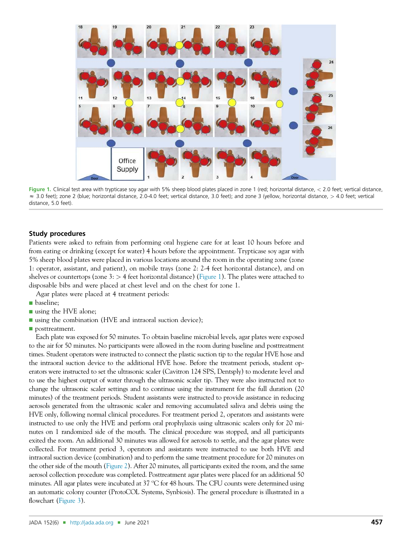

Figure 1. Clinical test area with trypticase soy agar with 5% sheep blood plates placed in zone 1 (red; horizontal distance, < 2.0 feet; vertical distance,  $\approx$  3.0 feet); zone 2 (blue; horizontal distance, 2.0-4.0 feet; vertical distance, 3.0 feet); and zone 3 (yellow, horizontal distance,  $>$  4.0 feet; vertical distance, 5.0 feet).

### Study procedures

Patients were asked to refrain from performing oral hygiene care for at least 10 hours before and from eating or drinking (except for water) 4 hours before the appointment. Trypticase soy agar with 5% sheep blood plates were placed in various locations around the room in the operating zone (zone 1: operator, assistant, and patient), on mobile trays (zone 2: 2-4 feet horizontal distance), and on shelves or countertops (zone  $3:$  > 4 feet horizontal distance) (Figure 1). The plates were attached to disposable bibs and were placed at chest level and on the chest for zone 1.

- Agar plates were placed at 4 treatment periods:
- **n** baseline;
- using the HVE alone;
- using the combination (HVE and intraoral suction device);
- $\blacksquare$  posttreatment.

Each plate was exposed for 50 minutes. To obtain baseline microbial levels, agar plates were exposed to the air for 50 minutes. No participants were allowed in the room during baseline and posttreatment times. Student operators were instructed to connect the plastic suction tip to the regular HVE hose and the intraoral suction device to the additional HVE hose. Before the treatment periods, student operators were instructed to set the ultrasonic scaler (Cavitron 124 SPS, Dentsply) to moderate level and to use the highest output of water through the ultrasonic scaler tip. They were also instructed not to change the ultrasonic scaler settings and to continue using the instrument for the full duration (20 minutes) of the treatment periods. Student assistants were instructed to provide assistance in reducing aerosols generated from the ultrasonic scaler and removing accumulated saliva and debris using the HVE only, following normal clinical procedures. For treatment period 2, operators and assistants were instructed to use only the HVE and perform oral prophylaxis using ultrasonic scalers only for 20 minutes on 1 randomized side of the mouth. The clinical procedure was stopped, and all participants exited the room. An additional 30 minutes was allowed for aerosols to settle, and the agar plates were collected. For treatment period 3, operators and assistants were instructed to use both HVE and intraoral suction device (combination) and to perform the same treatment procedure for 20 minutes on the other side of the mouth (Figure 2). After 20 minutes, all participants exited the room, and the same aerosol collection procedure was completed. Posttreatment agar plates were placed for an additional 50 minutes. All agar plates were incubated at 37  $\degree$ C for 48 hours. The CFU counts were determined using an automatic colony counter (ProtoCOL Systems, Synbiosis). The general procedure is illustrated in a flowchart (Figure 3).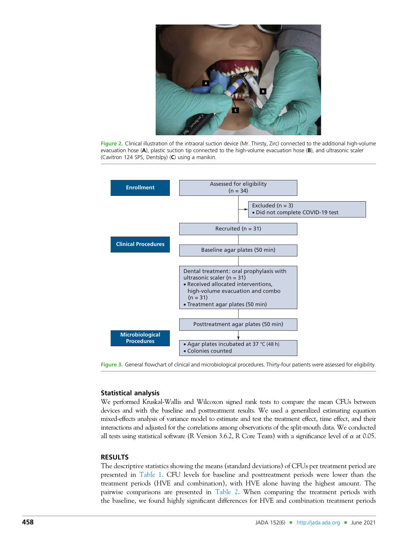

Figure 2. Clinical illustration of the intraoral suction device (Mr. Thirsty, Zirc) connected to the additional high-volume evacuation hose (A), plastic suction tip connected to the high-volume evacuation hose (B), and ultrasonic scaler (Cavitron 124 SPS, Dentslpy) (C) using a manikin.



Figure 3. General flowchart of clinical and microbiological procedures. Thirty-four patients were assessed for eligibility.

# Statistical analysis

We performed Kruskal-Wallis and Wilcoxon signed rank tests to compare the mean CFUs between devices and with the baseline and posttreatment results. We used a generalized estimating equation mixed-effects analysis of variance model to estimate and test the treatment effect, time effect, and their interactions and adjusted for the correlations among observations of the split-mouth data. We conducted all tests using statistical software (R Version 3.6.2, R Core Team) with a significance level of  $\alpha$  at 0.05.

# RESULTS

The descriptive statistics showing the means (standard deviations) of CFUs per treatment period are presented in Table 1. CFU levels for baseline and posttreatment periods were lower than the treatment periods (HVE and combination), with HVE alone having the highest amount. The pairwise comparisons are presented in Table 2. When comparing the treatment periods with the baseline, we found highly significant differences for HVE and combination treatment periods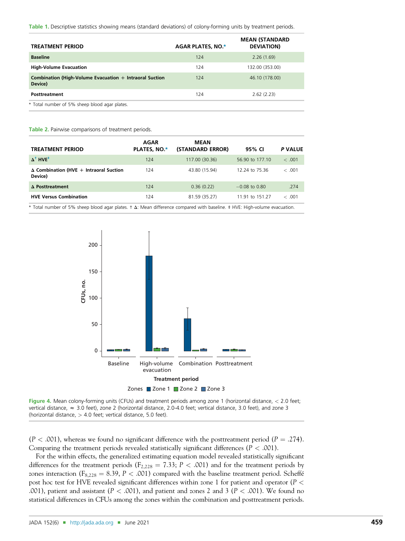Table 1. Descriptive statistics showing means (standard deviations) of colony-forming units by treatment periods.

| <b>TREATMENT PERIOD</b>                                            | <b>AGAR PLATES, NO.*</b> | <b>MEAN (STANDARD</b><br><b>DEVIATION</b> |
|--------------------------------------------------------------------|--------------------------|-------------------------------------------|
| <b>Baseline</b>                                                    | 124                      | 2.26(1.69)                                |
| <b>High-Volume Evacuation</b>                                      | 124                      | 132.00 (353.00)                           |
| Combination (High-Volume Evacuation + Intraoral Suction<br>Device) | 124                      | 46.10 (178.00)                            |
| Posttreatment                                                      | 124                      | 2.62(2.23)                                |
| * Total number of 5% sheep blood agar plates.                      |                          |                                           |

#### Table 2. Pairwise comparisons of treatment periods.

| <b>TREATMENT PERIOD</b>                                  | <b>AGAR</b><br><b>PLATES, NO.*</b> | <b>MEAN</b><br>(STANDARD ERROR) | 95% CI          | P VALUE |
|----------------------------------------------------------|------------------------------------|---------------------------------|-----------------|---------|
| $\Lambda^{\dagger}$ HVF <sup>‡</sup>                     | 124                                | 117.00 (30.36)                  | 56.90 to 177.10 | < .001  |
| $\Delta$ Combination (HVE + Intraoral Suction<br>Device) | 124                                | 43.80 (15.94)                   | 12.24 to 75.36  | < .001  |
| $\Delta$ Posttreatment                                   | 124                                | 0.36(0.22)                      | $-0.08$ to 0.80 | .274    |
| <b>HVE Versus Combination</b>                            | 124                                | 81.59 (35.27)                   | 11.91 to 151.27 | < .001  |

\* Total number of 5% sheep blood agar plates. † D: Mean difference compared with baseline. ‡ HVE: High-volume evacuation.





 $(P < .001)$ , whereas we found no significant difference with the posttreatment period  $(P = .274)$ . Comparing the treatment periods revealed statistically significant differences ( $P < .001$ ).

For the within effects, the generalized estimating equation model revealed statistically significant differences for the treatment periods ( $F_{2,228} = 7.33$ ;  $P < .001$ ) and for the treatment periods by zones interaction ( $F_{8,228} = 8.39$ ,  $P < .001$ ) compared with the baseline treatment period. Scheffé post hoc test for HVE revealed significant differences within zone 1 for patient and operator (P < .001), patient and assistant ( $P < .001$ ), and patient and zones 2 and 3 ( $P < .001$ ). We found no statistical differences in CFUs among the zones within the combination and posttreatment periods.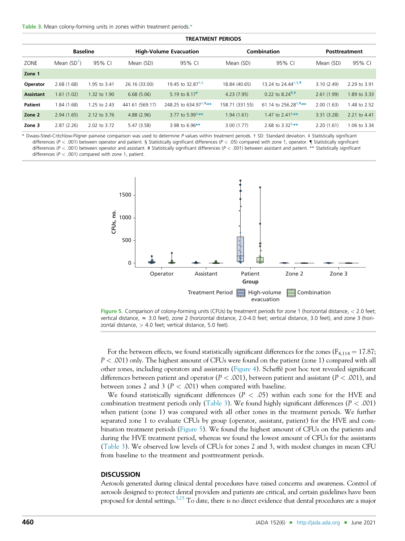|                  | <b>TREATMENT PERIODS</b> |              |                               |                                  |                    |                                                                                 |                      |              |
|------------------|--------------------------|--------------|-------------------------------|----------------------------------|--------------------|---------------------------------------------------------------------------------|----------------------|--------------|
|                  | <b>Baseline</b>          |              | <b>High-Volume Evacuation</b> |                                  | <b>Combination</b> |                                                                                 | <b>Posttreatment</b> |              |
| ZONE             | Mean $(SD^{\dagger})$    | 95% CI       | Mean (SD)                     | 95% CI                           | Mean (SD)          | 95% CI                                                                          | Mean (SD)            | 95% CI       |
| Zone 1           |                          |              |                               |                                  |                    |                                                                                 |                      |              |
| Operator         | 2.68(1.68)               | 1.95 to 3.41 | 26.16 (33.00)                 | 19.45 to 32.87 <sup>*,§</sup>    | 18.84 (40.65)      | 13.24 to $24.44^{+,5.9}$                                                        | 3.10(2.49)           | 2.29 to 3.91 |
| <b>Assistant</b> | 1.61(1.02)               | 1.32 to 1.90 | 6.68(5.06)                    | 5.19 to 8.17 <sup>#</sup>        | 4.23(7.95)         | 0.22 to 8.24 <sup>1,#</sup>                                                     | 2.61(1.99)           | 1.89 to 3.33 |
| Patient          | 1.84(1.68)               | 1.25 to 2.43 | 441.61 (569.17)               | 248.25 to 634.97 <sup>##**</sup> | 158.71 (331.55)    | 61.14 to 256.28 <sup><math>\pm</math>,<math>\pm</math>,<math>\star</math></sup> | 2.00(1.63)           | 1.48 to 2.52 |
| Zone 2           | 2.94(1.65)               | 2.12 to 3.76 | 4.88(2.96)                    | 3.77 to 5.99 <sup>§,**</sup>     | 1.94(1.61)         | 1.47 to $2.41^{5.***}$                                                          | 3.31(3.28)           | 2.21 to 4.41 |
| Zone 3           | 2.87(2.26)               | 2.02 to 3.72 | 5.47(3.58)                    | 3.98 to 6.96 $**$                | 3.00(1.77)         | 2.68 to $3.32^{5.***}$                                                          | 2.20(1.61)           | 1.06 to 3.34 |

\* Dwass-Steel-Critchlow-Fligner pairwise comparison was used to determine P values within treatment periods. † SD: Standard deviation. ‡ Statistically significant differences (P < .001) between operator and patient. § Statistically significant differences (P < .05) compared with zone 1, operator.  $\P$  Statistically significant differences ( $P < .001$ ) between operator and assistant. # Statistically significant differences ( $P < .001$ ) between assistant and patient. \*\* Statistically significant differences ( $P < .001$ ) compared with zone 1, patient.



Figure 5. Comparison of colony-forming units (CFUs) by treatment periods for zone 1 (horizontal distance, < 2.0 feet; vertical distance,  $\approx$  3.0 feet), zone 2 (horizontal distance, 2.0-4.0 feet; vertical distance, 3.0 feet), and zone 3 (horizontal distance,  $>$  4.0 feet; vertical distance, 5.0 feet).

For the between effects, we found statistically significant differences for the zones ( $F_{4,114} = 17.87$ ; P < .001) only. The highest amount of CFUs were found on the patient (zone 1) compared with all other zones, including operators and assistants (Figure 4). Scheffé post hoc test revealed significant differences between patient and operator ( $P < .001$ ), between patient and assistant ( $P < .001$ ), and between zones 2 and 3 ( $P < .001$ ) when compared with baseline.

We found statistically significant differences ( $P < .05$ ) within each zone for the HVE and combination treatment periods only (Table 3). We found highly significant differences ( $P < .001$ ) when patient (zone 1) was compared with all other zones in the treatment periods. We further separated zone 1 to evaluate CFUs by group (operator, assistant, patient) for the HVE and combination treatment periods (Figure 5). We found the highest amount of CFUs on the patients and during the HVE treatment period, whereas we found the lowest amount of CFUs for the assistants (Table 3). We observed low levels of CFUs for zones 2 and 3, with modest changes in mean CFU from baseline to the treatment and posttreatment periods.

#### **DISCUSSION**

Aerosols generated during clinical dental procedures have raised concerns and awareness. Control of aerosols designed to protect dental providers and patients are critical, and certain guidelines have been proposed for dental settings.<sup>5,15</sup> To date, there is no direct evidence that dental procedures are a major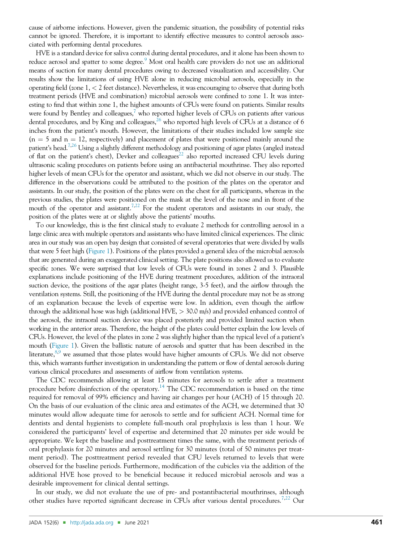cause of airborne infections. However, given the pandemic situation, the possibility of potential risks cannot be ignored. Therefore, it is important to identify effective measures to control aerosols associated with performing dental procedures.

HVE is a standard device for saliva control during dental procedures, and it alone has been shown to reduce aerosol and spatter to some degree.<sup>9</sup> Most oral health care providers do not use an additional means of suction for many dental procedures owing to decreased visualization and accessibility. Our results show the limitations of using HVE alone in reducing microbial aerosols, especially in the operating field (zone 1, < 2 feet distance). Nevertheless, it was encouraging to observe that during both treatment periods (HVE and combination) microbial aerosols were confined to zone 1. It was interesting to find that within zone 1, the highest amounts of CFUs were found on patients. Similar results were found by Bentley and colleagues,<sup>7</sup> who reported higher levels of CFUs on patients after various dental procedures, and by King and colleagues,<sup>26</sup> who reported high levels of CFUs at a distance of 6 inches from the patient's mouth. However, the limitations of their studies included low sample size  $(n = 5$  and  $n = 12$ , respectively) and placement of plates that were positioned mainly around the patient's head.<sup>7,26</sup> Using a slightly different methodology and positioning of agar plates (angled instead of flat on the patient's chest), Devker and colleagues<sup>22</sup> also reported increased CFU levels during ultrasonic scaling procedures on patients before using an antibacterial mouthrinse. They also reported higher levels of mean CFUs for the operator and assistant, which we did not observe in our study. The difference in the observations could be attributed to the position of the plates on the operator and assistants. In our study, the position of the plates were on the chest for all participants, whereas in the previous studies, the plates were positioned on the mask at the level of the nose and in front of the mouth of the operator and assistant.<sup>7,22</sup> For the student operators and assistants in our study, the position of the plates were at or slightly above the patients' mouths.

To our knowledge, this is the first clinical study to evaluate 2 methods for controlling aerosol in a large clinic area with multiple operators and assistants who have limited clinical experiences. The clinic area in our study was an open bay design that consisted of several operatories that were divided by walls that were 5 feet high (Figure 1). Positions of the plates provided a general idea of the microbial aerosols that are generated during an exaggerated clinical setting. The plate positions also allowed us to evaluate specific zones. We were surprised that low levels of CFUs were found in zones 2 and 3. Plausible explanations include positioning of the HVE during treatment procedures, addition of the intraoral suction device, the positions of the agar plates (height range, 3-5 feet), and the airflow through the ventilation systems. Still, the positioning of the HVE during the dental procedure may not be as strong of an explanation because the levels of expertise were low. In addition, even though the airflow through the additional hose was high (additional HVE, > 30.0 m/s) and provided enhanced control of the aerosol, the intraoral suction device was placed posteriorly and provided limited suction when working in the anterior areas. Therefore, the height of the plates could better explain the low levels of CFUs. However, the level of the plates in zone 2 was slightly higher than the typical level of a patient's mouth (Figure 1). Given the ballistic nature of aerosols and spatter that has been described in the literature, $8.9$  we assumed that those plates would have higher amounts of CFUs. We did not observe this, which warrants further investigation in understanding the pattern or flow of dental aerosols during various clinical procedures and assessments of airflow from ventilation systems.

The CDC recommends allowing at least 15 minutes for aerosols to settle after a treatment procedure before disinfection of the operatory.<sup>14</sup> The CDC recommendation is based on the time required for removal of 99% efficiency and having air changes per hour (ACH) of 15 through 20. On the basis of our evaluation of the clinic area and estimates of the ACH, we determined that 30 minutes would allow adequate time for aerosols to settle and for sufficient ACH. Normal time for dentists and dental hygienists to complete full-mouth oral prophylaxis is less than 1 hour. We considered the participants' level of expertise and determined that 20 minutes per side would be appropriate. We kept the baseline and posttreatment times the same, with the treatment periods of oral prophylaxis for 20 minutes and aerosol settling for 30 minutes (total of 50 minutes per treatment period). The posttreatment period revealed that CFU levels returned to levels that were observed for the baseline periods. Furthermore, modification of the cubicles via the addition of the additional HVE hose proved to be beneficial because it reduced microbial aerosols and was a desirable improvement for clinical dental settings.

In our study, we did not evaluate the use of pre- and postantibacterial mouthrinses, although other studies have reported significant decrease in CFUs after various dental procedures.<sup>7,22</sup> Our